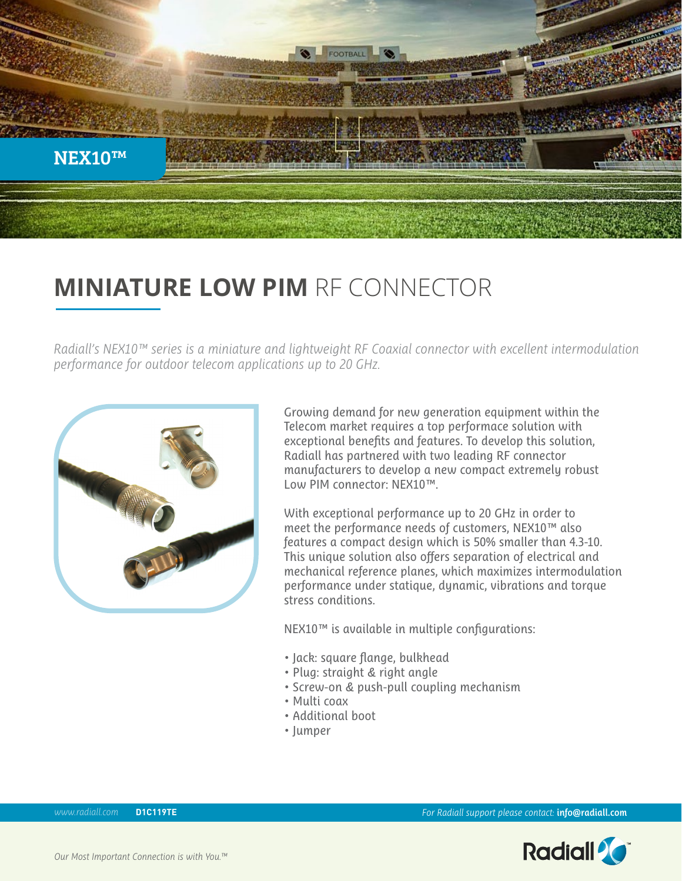

# **MINIATURE LOW PIM** RF CONNECTOR

*Radiall's NEX10™ series is a miniature and lightweight RF Coaxial connector with excellent intermodulation performance for outdoor telecom applications up to 20 GHz.* 



Growing demand for new generation equipment within the Telecom market requires a top performace solution with exceptional benefits and features. To develop this solution, Radiall has partnered with two leading RF connector manufacturers to develop a new compact extremely robust Low PIM connector: NEX10™.

With exceptional performance up to 20 GHz in order to meet the performance needs of customers, NEX10™ also features a compact design which is 50% smaller than 4.3-10. This unique solution also offers separation of electrical and mechanical reference planes, which maximizes intermodulation performance under statique, dynamic, vibrations and torque stress conditions.

NEX10™ is available in multiple configurations:

- Jack: square flange, bulkhead
- Plug: straight & right angle
- Screw-on & push-pull coupling mechanism
- Multi coax
- Additional boot
- Jumper